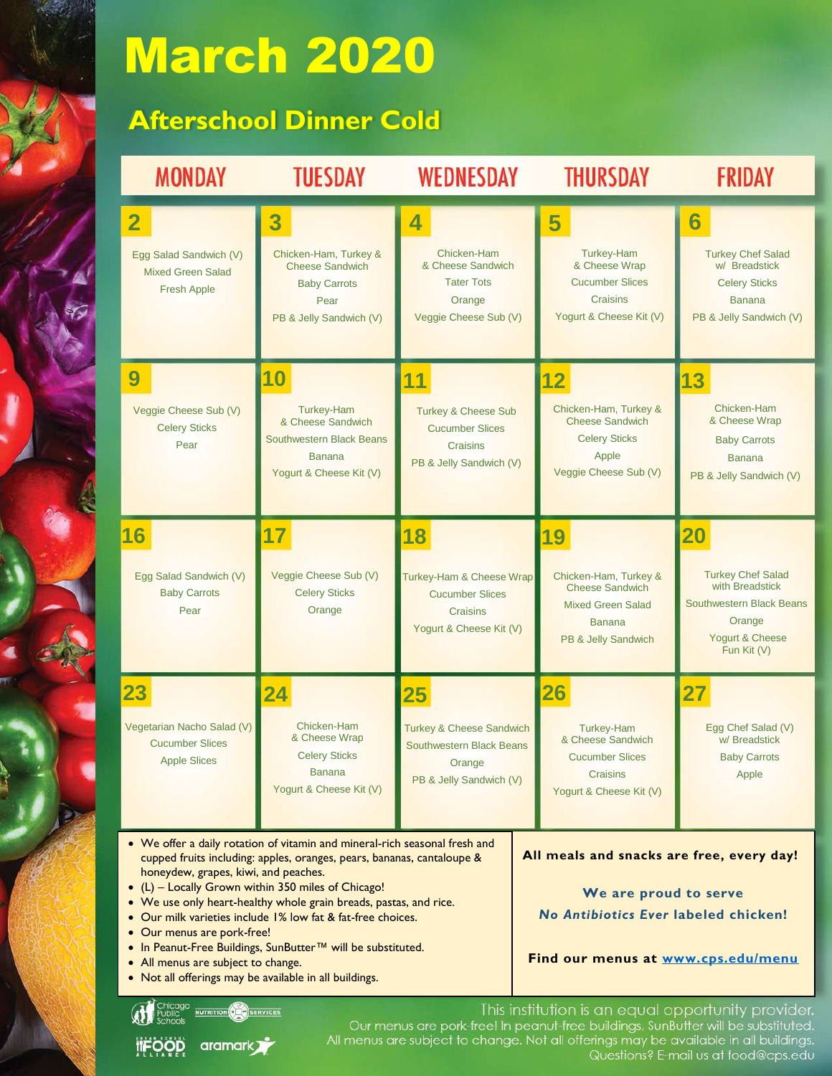## March 2020

## **Afterschool Dinner Cold**

| <b>MONDAY</b>                                                                                                                                                                                                                                                                                   | <b>TUESDAY</b>                                                                                                              | <b>WEDNESDAY</b>                                                                                                                   | <b>THURSDAY</b>                                                                                                           | FRIDAY                                                                                                                           |  |
|-------------------------------------------------------------------------------------------------------------------------------------------------------------------------------------------------------------------------------------------------------------------------------------------------|-----------------------------------------------------------------------------------------------------------------------------|------------------------------------------------------------------------------------------------------------------------------------|---------------------------------------------------------------------------------------------------------------------------|----------------------------------------------------------------------------------------------------------------------------------|--|
| $\overline{\mathbf{2}}$<br>Egg Salad Sandwich (V)<br><b>Mixed Green Salad</b><br><b>Fresh Apple</b>                                                                                                                                                                                             | 3<br>Chicken-Ham, Turkey &<br><b>Cheese Sandwich</b><br><b>Baby Carrots</b><br>Pear<br>PB & Jelly Sandwich (V)              | 4<br>Chicken-Ham<br>& Cheese Sandwich<br><b>Tater Tots</b><br>Orange<br>Veggie Cheese Sub (V)                                      | 5<br><b>Turkey-Ham</b><br>& Cheese Wrap<br><b>Cucumber Slices</b><br>Craisins<br>Yogurt & Cheese Kit (V)                  | $\bf{6}$<br><b>Turkey Chef Salad</b><br>w/ Breadstick<br><b>Celery Sticks</b><br><b>Banana</b><br>PB & Jelly Sandwich (V)        |  |
| 9<br>Veggie Cheese Sub (V)<br><b>Celery Sticks</b><br>Pear                                                                                                                                                                                                                                      | 10<br><b>Turkey-Ham</b><br>& Cheese Sandwich<br><b>Southwestern Black Beans</b><br><b>Banana</b><br>Yogurt & Cheese Kit (V) | 11<br><b>Turkey &amp; Cheese Sub</b><br><b>Cucumber Slices</b><br><b>Craisins</b><br>PB & Jelly Sandwich (V)                       | 12<br>Chicken-Ham, Turkey &<br><b>Cheese Sandwich</b><br><b>Celery Sticks</b><br>Apple<br>Veggie Cheese Sub (V)           | 13<br>Chicken-Ham<br>& Cheese Wrap<br><b>Baby Carrots</b><br><b>Banana</b><br>PB & Jelly Sandwich (V)                            |  |
| 16<br>Egg Salad Sandwich (V)<br><b>Baby Carrots</b><br>Pear                                                                                                                                                                                                                                     | 17<br>Veggie Cheese Sub (V)<br><b>Celery Sticks</b><br>Orange                                                               | 18<br><b>Turkey-Ham &amp; Cheese Wrap</b><br><b>Cucumber Slices</b><br>Craisins<br>Yogurt & Cheese Kit (V)                         | 19<br>Chicken-Ham, Turkey &<br><b>Cheese Sandwich</b><br><b>Mixed Green Salad</b><br><b>Banana</b><br>PB & Jelly Sandwich | 20<br><b>Turkey Chef Salad</b><br>with Breadstick<br><b>Southwestern Black Beans</b><br>Orange<br>Yogurt & Cheese<br>Fun Kit (V) |  |
| 23<br>Vegetarian Nacho Salad (V)<br><b>Cucumber Slices</b><br><b>Apple Slices</b>                                                                                                                                                                                                               | 24<br>Chicken-Ham<br>& Cheese Wrap<br><b>Celery Sticks</b><br><b>Banana</b><br>Yogurt & Cheese Kit (V)                      | $\overline{\bf 25}$<br><b>Turkey &amp; Cheese Sandwich</b><br><b>Southwestern Black Beans</b><br>Orange<br>PB & Jelly Sandwich (V) | 26<br>Turkey-Ham<br>& Cheese Sandwich<br><b>Cucumber Slices</b><br>Craisins<br>Yogurt & Cheese Kit (V)                    | 27<br>Egg Chef Salad (V)<br>w/ Breadstick<br><b>Baby Carrots</b><br>Apple                                                        |  |
| • We offer a daily rotation of vitamin and mineral-rich seasonal fresh and<br>All meals and snacks are free, every day!<br>cupped fruits including: apples, oranges, pears, bananas, cantaloupe &<br>honeydew, grapes, kiwi, and peaches.<br>$(1)$ Locally Grown within $350$ miles of Chicagol |                                                                                                                             |                                                                                                                                    |                                                                                                                           |                                                                                                                                  |  |

- (L) Locally Grown within 350 miles of Chicago!
- We use only heart-healthy whole grain breads, pastas, and rice.
- Our milk varieties include 1% low fat & fat-free choices.
- Our menus are pork-free!

**ITFOOD** 

- In Peanut-Free Buildings, SunButter™ will be substituted.
- All menus are subject to change.
- Not all offerings may be available in all buildings.

**OBO**SERVICES

aramark<sub>/</sub>

**We are proud to serve** *No Antibiotics Ever* **labeled chicken!**

**Find our menus at [www.cps.edu/menu](http://www.cps.edu/menu)**

This institution is an equal opportunity provider.<br>Our menus are pork-free! In peanut-free buildings, SunButter will be substituted.<br>All menus are subject to change. Not all offerings may be available in all buildings. Questions? E-mail us at food@cps.edu